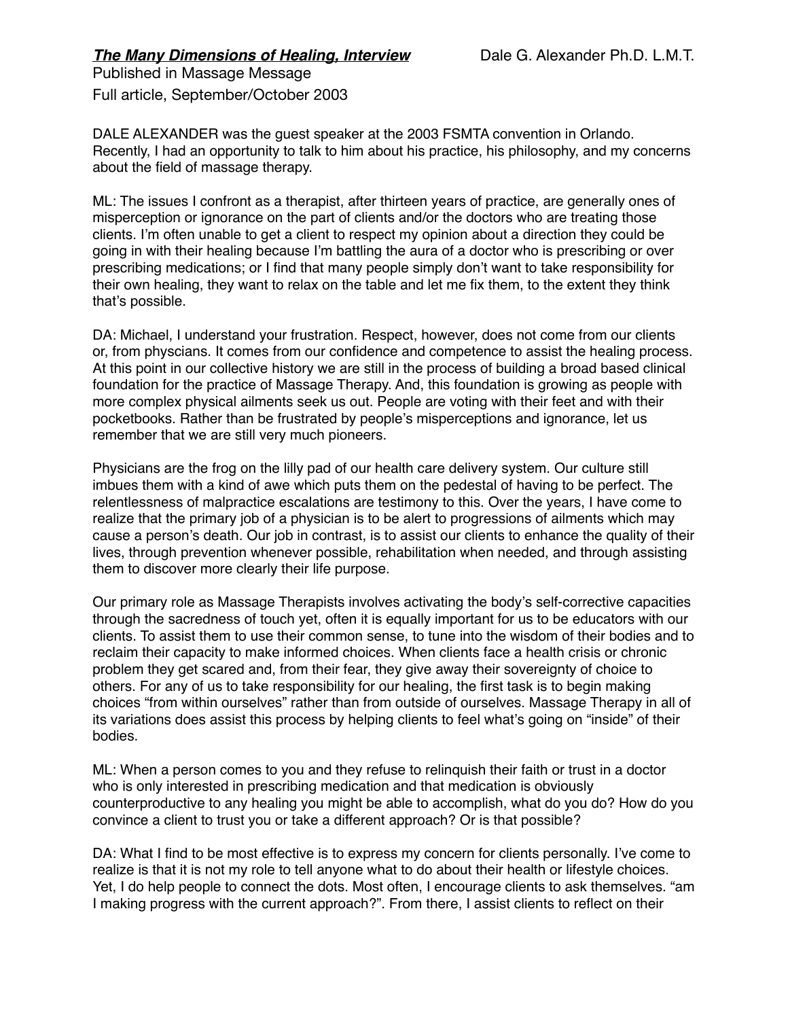## **The Many Dimensions of Healing, Interview** Dale G. Alexander Ph.D. L.M.T. Published in Massage Message

Full article, September/October 2003

DALE ALEXANDER was the guest speaker at the 2003 FSMTA convention in Orlando. Recently, I had an opportunity to talk to him about his practice, his philosophy, and my concerns about the field of massage therapy.

ML: The issues I confront as a therapist, after thirteen years of practice, are generally ones of misperception or ignorance on the part of clients and/or the doctors who are treating those clients. I'm often unable to get a client to respect my opinion about a direction they could be going in with their healing because I'm battling the aura of a doctor who is prescribing or over prescribing medications; or I find that many people simply don't want to take responsibility for their own healing, they want to relax on the table and let me fix them, to the extent they think that's possible.

DA: Michael, I understand your frustration. Respect, however, does not come from our clients or, from physcians. It comes from our confidence and competence to assist the healing process. At this point in our collective history we are still in the process of building a broad based clinical foundation for the practice of Massage Therapy. And, this foundation is growing as people with more complex physical ailments seek us out. People are voting with their feet and with their pocketbooks. Rather than be frustrated by people's misperceptions and ignorance, let us remember that we are still very much pioneers.

Physicians are the frog on the lilly pad of our health care delivery system. Our culture still imbues them with a kind of awe which puts them on the pedestal of having to be perfect. The relentlessness of malpractice escalations are testimony to this. Over the years, I have come to realize that the primary job of a physician is to be alert to progressions of ailments which may cause a person's death. Our job in contrast, is to assist our clients to enhance the quality of their lives, through prevention whenever possible, rehabilitation when needed, and through assisting them to discover more clearly their life purpose.

Our primary role as Massage Therapists involves activating the body's self-corrective capacities through the sacredness of touch yet, often it is equally important for us to be educators with our clients. To assist them to use their common sense, to tune into the wisdom of their bodies and to reclaim their capacity to make informed choices. When clients face a health crisis or chronic problem they get scared and, from their fear, they give away their sovereignty of choice to others. For any of us to take responsibility for our healing, the first task is to begin making choices "from within ourselves" rather than from outside of ourselves. Massage Therapy in all of its variations does assist this process by helping clients to feel what's going on "inside" of their bodies.

ML: When a person comes to you and they refuse to relinquish their faith or trust in a doctor who is only interested in prescribing medication and that medication is obviously counterproductive to any healing you might be able to accomplish, what do you do? How do you convince a client to trust you or take a different approach? Or is that possible?

DA: What I find to be most effective is to express my concern for clients personally. I've come to realize is that it is not my role to tell anyone what to do about their health or lifestyle choices. Yet, I do help people to connect the dots. Most often, I encourage clients to ask themselves. "am I making progress with the current approach?". From there, I assist clients to reflect on their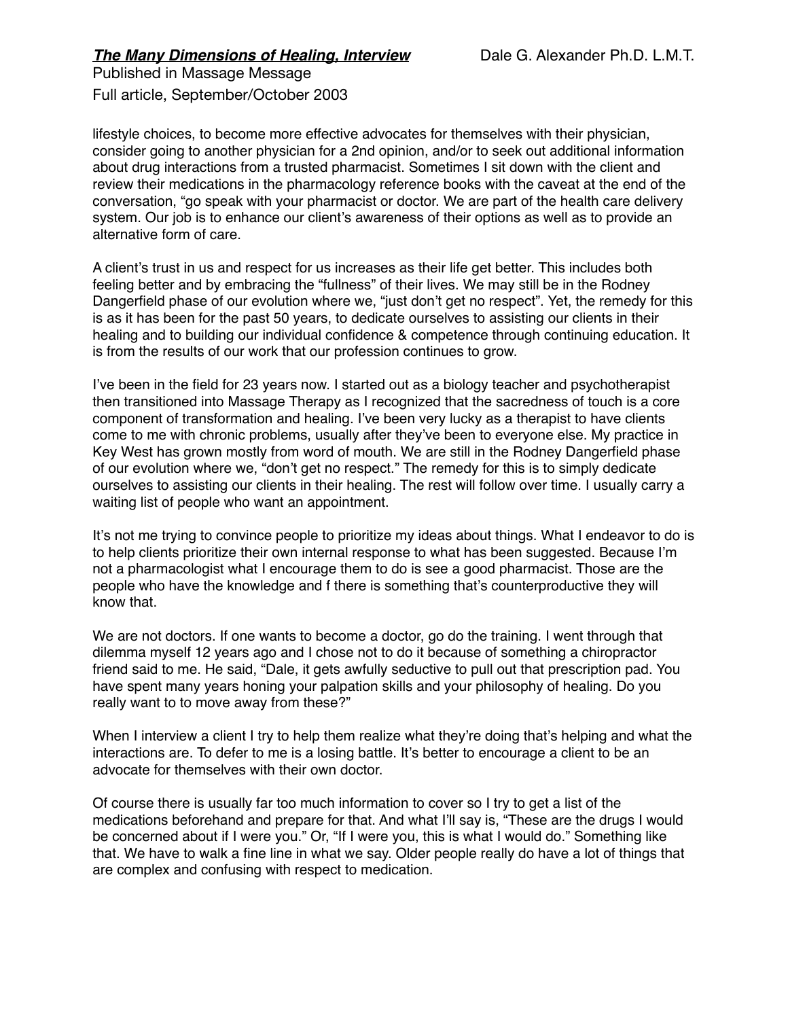Full article, September/October 2003

lifestyle choices, to become more effective advocates for themselves with their physician, consider going to another physician for a 2nd opinion, and/or to seek out additional information about drug interactions from a trusted pharmacist. Sometimes I sit down with the client and review their medications in the pharmacology reference books with the caveat at the end of the conversation, "go speak with your pharmacist or doctor. We are part of the health care delivery system. Our job is to enhance our client's awareness of their options as well as to provide an alternative form of care.

A client's trust in us and respect for us increases as their life get better. This includes both feeling better and by embracing the "fullness" of their lives. We may still be in the Rodney Dangerfield phase of our evolution where we, "just don't get no respect". Yet, the remedy for this is as it has been for the past 50 years, to dedicate ourselves to assisting our clients in their healing and to building our individual confidence & competence through continuing education. It is from the results of our work that our profession continues to grow.

I've been in the field for 23 years now. I started out as a biology teacher and psychotherapist then transitioned into Massage Therapy as I recognized that the sacredness of touch is a core component of transformation and healing. I've been very lucky as a therapist to have clients come to me with chronic problems, usually after they've been to everyone else. My practice in Key West has grown mostly from word of mouth. We are still in the Rodney Dangerfield phase of our evolution where we, "don't get no respect." The remedy for this is to simply dedicate ourselves to assisting our clients in their healing. The rest will follow over time. I usually carry a waiting list of people who want an appointment.

It's not me trying to convince people to prioritize my ideas about things. What I endeavor to do is to help clients prioritize their own internal response to what has been suggested. Because I'm not a pharmacologist what I encourage them to do is see a good pharmacist. Those are the people who have the knowledge and f there is something that's counterproductive they will know that.

We are not doctors. If one wants to become a doctor, go do the training. I went through that dilemma myself 12 years ago and I chose not to do it because of something a chiropractor friend said to me. He said, "Dale, it gets awfully seductive to pull out that prescription pad. You have spent many years honing your palpation skills and your philosophy of healing. Do you really want to to move away from these?"

When I interview a client I try to help them realize what they're doing that's helping and what the interactions are. To defer to me is a losing battle. It's better to encourage a client to be an advocate for themselves with their own doctor.

Of course there is usually far too much information to cover so I try to get a list of the medications beforehand and prepare for that. And what I'll say is, "These are the drugs I would be concerned about if I were you." Or, "If I were you, this is what I would do." Something like that. We have to walk a fine line in what we say. Older people really do have a lot of things that are complex and confusing with respect to medication.